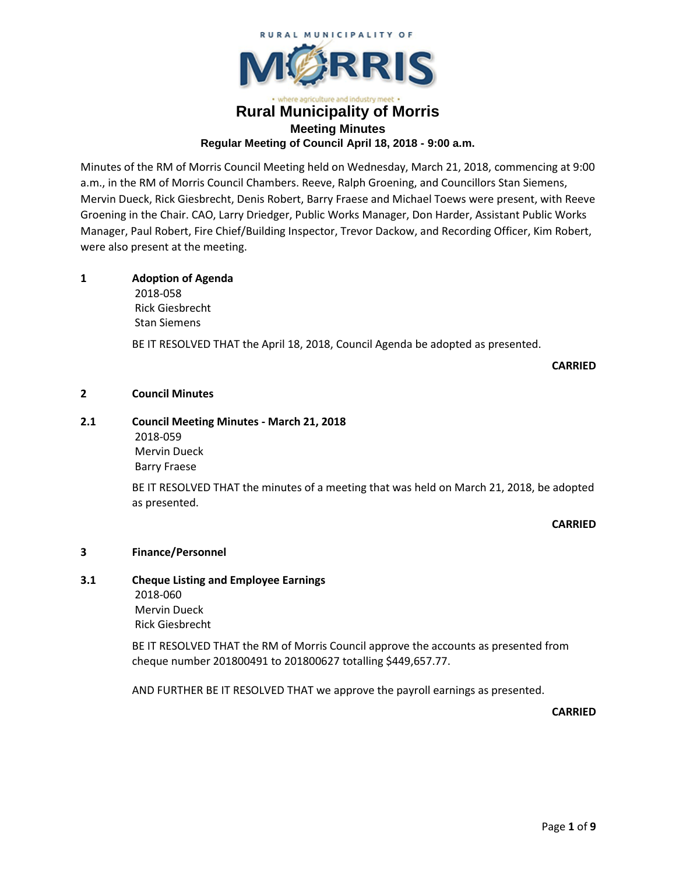

## here agriculture and industry meet **Rural Municipality of Morris Meeting Minutes Regular Meeting of Council April 18, 2018 - 9:00 a.m.**

Minutes of the RM of Morris Council Meeting held on Wednesday, March 21, 2018, commencing at 9:00 a.m., in the RM of Morris Council Chambers. Reeve, Ralph Groening, and Councillors Stan Siemens, Mervin Dueck, Rick Giesbrecht, Denis Robert, Barry Fraese and Michael Toews were present, with Reeve Groening in the Chair. CAO, Larry Driedger, Public Works Manager, Don Harder, Assistant Public Works Manager, Paul Robert, Fire Chief/Building Inspector, Trevor Dackow, and Recording Officer, Kim Robert, were also present at the meeting.

## **1 Adoption of Agenda**

2018-058 Rick Giesbrecht Stan Siemens

BE IT RESOLVED THAT the April 18, 2018, Council Agenda be adopted as presented.

**CARRIED**

## **2 Council Minutes**

## **2.1 Council Meeting Minutes - March 21, 2018**

2018-059 Mervin Dueck Barry Fraese

BE IT RESOLVED THAT the minutes of a meeting that was held on March 21, 2018, be adopted as presented.

## **CARRIED**

## **3 Finance/Personnel**

## **3.1 Cheque Listing and Employee Earnings** 2018-060 Mervin Dueck Rick Giesbrecht

BE IT RESOLVED THAT the RM of Morris Council approve the accounts as presented from cheque number 201800491 to 201800627 totalling \$449,657.77.

AND FURTHER BE IT RESOLVED THAT we approve the payroll earnings as presented.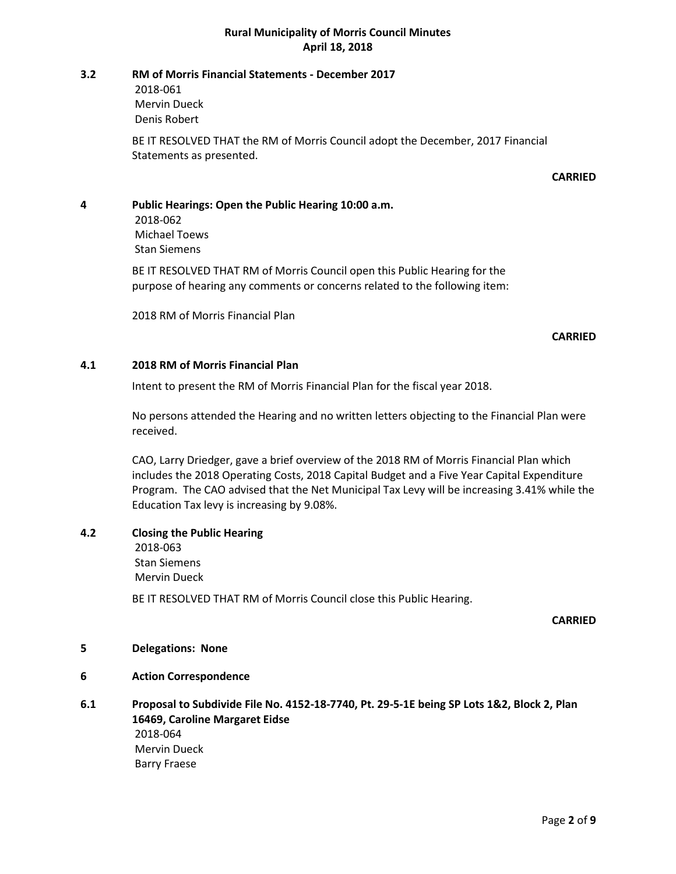#### **3.2 RM of Morris Financial Statements - December 2017**

2018-061 Mervin Dueck Denis Robert

BE IT RESOLVED THAT the RM of Morris Council adopt the December, 2017 Financial Statements as presented.

## **CARRIED**

**4 Public Hearings: Open the Public Hearing 10:00 a.m.** 2018-062

Michael Toews Stan Siemens

BE IT RESOLVED THAT RM of Morris Council open this Public Hearing for the purpose of hearing any comments or concerns related to the following item:

2018 RM of Morris Financial Plan

#### **CARRIED**

## **4.1 2018 RM of Morris Financial Plan**

Intent to present the RM of Morris Financial Plan for the fiscal year 2018.

No persons attended the Hearing and no written letters objecting to the Financial Plan were received.

CAO, Larry Driedger, gave a brief overview of the 2018 RM of Morris Financial Plan which includes the 2018 Operating Costs, 2018 Capital Budget and a Five Year Capital Expenditure Program. The CAO advised that the Net Municipal Tax Levy will be increasing 3.41% while the Education Tax levy is increasing by 9.08%.

## **4.2 Closing the Public Hearing**

2018-063 Stan Siemens Mervin Dueck

BE IT RESOLVED THAT RM of Morris Council close this Public Hearing.

**CARRIED**

## **5 Delegations: None**

- **6 Action Correspondence**
- **6.1 Proposal to Subdivide File No. 4152-18-7740, Pt. 29-5-1E being SP Lots 1&2, Block 2, Plan 16469, Caroline Margaret Eidse** 2018-064 Mervin Dueck Barry Fraese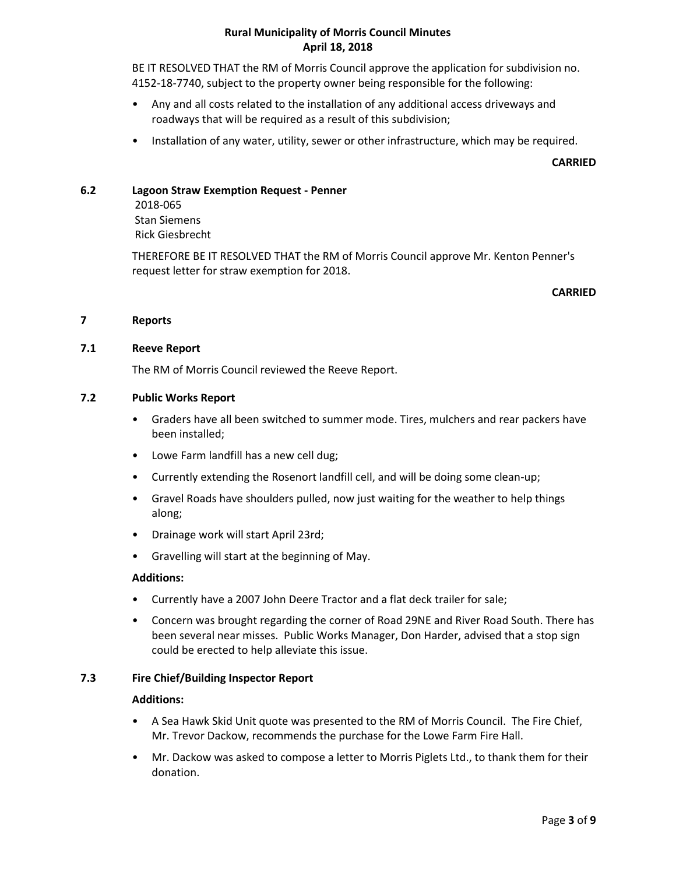BE IT RESOLVED THAT the RM of Morris Council approve the application for subdivision no. 4152-18-7740, subject to the property owner being responsible for the following:

- Any and all costs related to the installation of any additional access driveways and roadways that will be required as a result of this subdivision;
- Installation of any water, utility, sewer or other infrastructure, which may be required.

#### **CARRIED**

## **6.2 Lagoon Straw Exemption Request - Penner**

2018-065 Stan Siemens Rick Giesbrecht

THEREFORE BE IT RESOLVED THAT the RM of Morris Council approve Mr. Kenton Penner's request letter for straw exemption for 2018.

#### **CARRIED**

#### **7 Reports**

#### **7.1 Reeve Report**

The RM of Morris Council reviewed the Reeve Report.

#### **7.2 Public Works Report**

- Graders have all been switched to summer mode. Tires, mulchers and rear packers have been installed;
- Lowe Farm landfill has a new cell dug;
- Currently extending the Rosenort landfill cell, and will be doing some clean-up;
- Gravel Roads have shoulders pulled, now just waiting for the weather to help things along;
- Drainage work will start April 23rd;
- Gravelling will start at the beginning of May.

#### **Additions:**

- Currently have a 2007 John Deere Tractor and a flat deck trailer for sale;
- Concern was brought regarding the corner of Road 29NE and River Road South. There has been several near misses. Public Works Manager, Don Harder, advised that a stop sign could be erected to help alleviate this issue.

#### **7.3 Fire Chief/Building Inspector Report**

#### **Additions:**

- A Sea Hawk Skid Unit quote was presented to the RM of Morris Council. The Fire Chief, Mr. Trevor Dackow, recommends the purchase for the Lowe Farm Fire Hall.
- Mr. Dackow was asked to compose a letter to Morris Piglets Ltd., to thank them for their donation.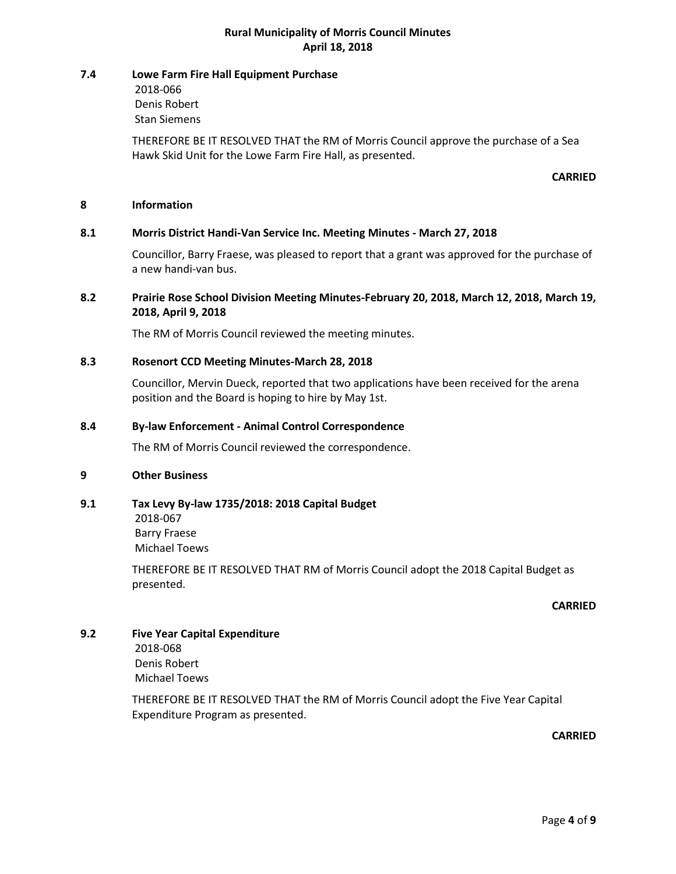#### **7.4 Lowe Farm Fire Hall Equipment Purchase**

2018-066 Denis Robert Stan Siemens

THEREFORE BE IT RESOLVED THAT the RM of Morris Council approve the purchase of a Sea Hawk Skid Unit for the Lowe Farm Fire Hall, as presented.

#### **CARRIED**

#### **8 Information**

## **8.1 Morris District Handi-Van Service Inc. Meeting Minutes - March 27, 2018**

Councillor, Barry Fraese, was pleased to report that a grant was approved for the purchase of a new handi-van bus.

## **8.2 Prairie Rose School Division Meeting Minutes-February 20, 2018, March 12, 2018, March 19, 2018, April 9, 2018**

The RM of Morris Council reviewed the meeting minutes.

#### **8.3 Rosenort CCD Meeting Minutes-March 28, 2018**

Councillor, Mervin Dueck, reported that two applications have been received for the arena position and the Board is hoping to hire by May 1st.

#### **8.4 By-law Enforcement - Animal Control Correspondence**

The RM of Morris Council reviewed the correspondence.

#### **9 Other Business**

## **9.1 Tax Levy By-law 1735/2018: 2018 Capital Budget**

2018-067 Barry Fraese Michael Toews

THEREFORE BE IT RESOLVED THAT RM of Morris Council adopt the 2018 Capital Budget as presented.

#### **CARRIED**

## **9.2 Five Year Capital Expenditure** 2018-068 Denis Robert Michael Toews

THEREFORE BE IT RESOLVED THAT the RM of Morris Council adopt the Five Year Capital Expenditure Program as presented.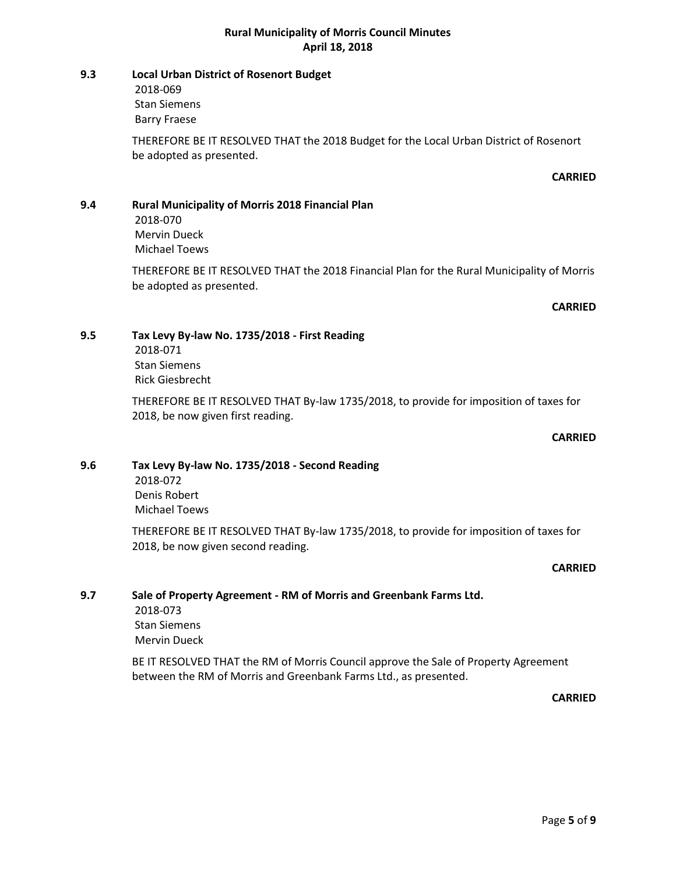## **9.3 Local Urban District of Rosenort Budget**

2018-069 Stan Siemens Barry Fraese

THEREFORE BE IT RESOLVED THAT the 2018 Budget for the Local Urban District of Rosenort be adopted as presented.

## **CARRIED**

## **9.4 Rural Municipality of Morris 2018 Financial Plan**

2018-070 Mervin Dueck Michael Toews

THEREFORE BE IT RESOLVED THAT the 2018 Financial Plan for the Rural Municipality of Morris be adopted as presented.

## **CARRIED**

## **9.5 Tax Levy By-law No. 1735/2018 - First Reading**

2018-071 Stan Siemens Rick Giesbrecht

THEREFORE BE IT RESOLVED THAT By-law 1735/2018, to provide for imposition of taxes for 2018, be now given first reading.

## **CARRIED**

## **9.6 Tax Levy By-law No. 1735/2018 - Second Reading**

2018-072 Denis Robert Michael Toews

THEREFORE BE IT RESOLVED THAT By-law 1735/2018, to provide for imposition of taxes for 2018, be now given second reading.

## **CARRIED**

## **9.7 Sale of Property Agreement - RM of Morris and Greenbank Farms Ltd.**

2018-073 Stan Siemens Mervin Dueck

BE IT RESOLVED THAT the RM of Morris Council approve the Sale of Property Agreement between the RM of Morris and Greenbank Farms Ltd., as presented.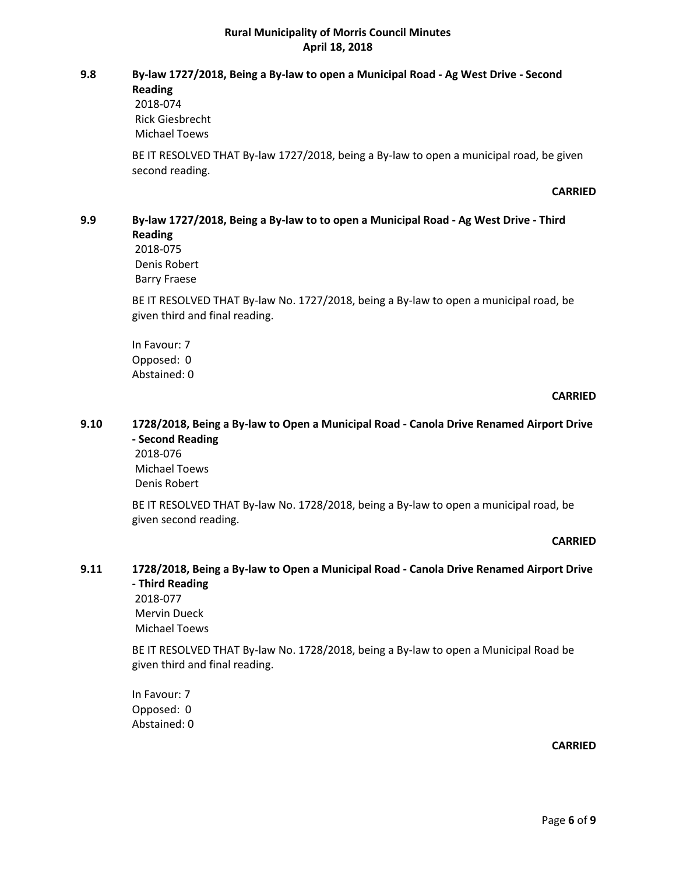# **9.8 By-law 1727/2018, Being a By-law to open a Municipal Road - Ag West Drive - Second**

**Reading**

2018-074 Rick Giesbrecht Michael Toews

BE IT RESOLVED THAT By-law 1727/2018, being a By-law to open a municipal road, be given second reading.

#### **CARRIED**

## **9.9 By-law 1727/2018, Being a By-law to to open a Municipal Road - Ag West Drive - Third Reading**

2018-075 Denis Robert Barry Fraese

BE IT RESOLVED THAT By-law No. 1727/2018, being a By-law to open a municipal road, be given third and final reading.

In Favour: 7 Opposed: 0 Abstained: 0

## **CARRIED**

## **9.10 1728/2018, Being a By-law to Open a Municipal Road - Canola Drive Renamed Airport Drive - Second Reading**

2018-076 Michael Toews Denis Robert

BE IT RESOLVED THAT By-law No. 1728/2018, being a By-law to open a municipal road, be given second reading.

#### **CARRIED**

## **9.11 1728/2018, Being a By-law to Open a Municipal Road - Canola Drive Renamed Airport Drive - Third Reading**

2018-077 Mervin Dueck Michael Toews

BE IT RESOLVED THAT By-law No. 1728/2018, being a By-law to open a Municipal Road be given third and final reading.

In Favour: 7 Opposed: 0 Abstained: 0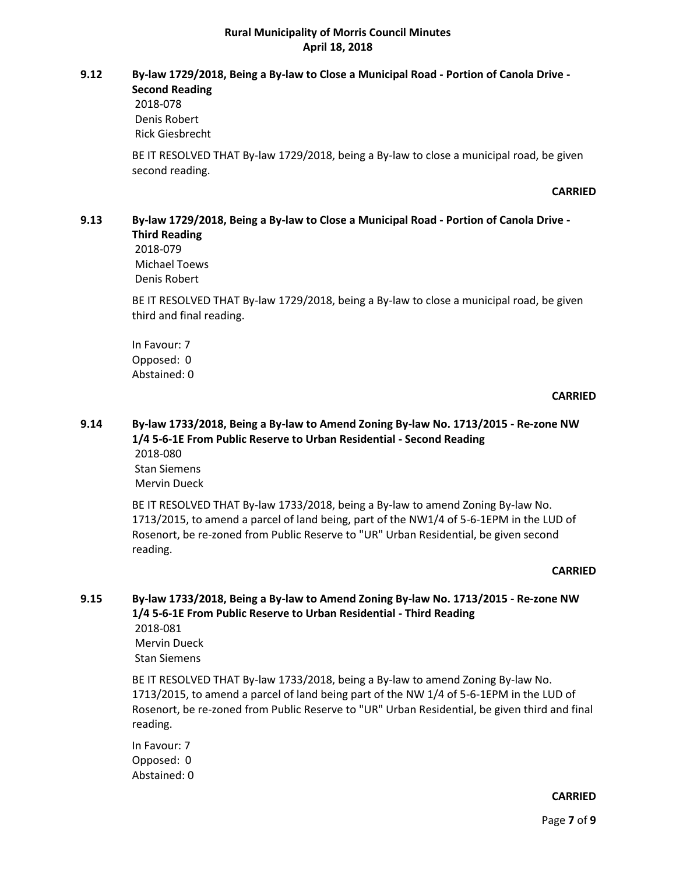# **9.12 By-law 1729/2018, Being a By-law to Close a Municipal Road - Portion of Canola Drive -**

**Second Reading** 2018-078 Denis Robert Rick Giesbrecht

BE IT RESOLVED THAT By-law 1729/2018, being a By-law to close a municipal road, be given second reading.

#### **CARRIED**

#### **9.13 By-law 1729/2018, Being a By-law to Close a Municipal Road - Portion of Canola Drive - Third Reading**

2018-079 Michael Toews Denis Robert

BE IT RESOLVED THAT By-law 1729/2018, being a By-law to close a municipal road, be given third and final reading.

In Favour: 7 Opposed: 0 Abstained: 0

#### **CARRIED**

## **9.14 By-law 1733/2018, Being a By-law to Amend Zoning By-law No. 1713/2015 - Re-zone NW 1/4 5-6-1E From Public Reserve to Urban Residential - Second Reading** 2018-080

Stan Siemens Mervin Dueck

BE IT RESOLVED THAT By-law 1733/2018, being a By-law to amend Zoning By-law No. 1713/2015, to amend a parcel of land being, part of the NW1/4 of 5-6-1EPM in the LUD of Rosenort, be re-zoned from Public Reserve to "UR" Urban Residential, be given second reading.

#### **CARRIED**

#### **9.15 By-law 1733/2018, Being a By-law to Amend Zoning By-law No. 1713/2015 - Re-zone NW 1/4 5-6-1E From Public Reserve to Urban Residential - Third Reading** 2018-081

Mervin Dueck Stan Siemens

BE IT RESOLVED THAT By-law 1733/2018, being a By-law to amend Zoning By-law No. 1713/2015, to amend a parcel of land being part of the NW 1/4 of 5-6-1EPM in the LUD of Rosenort, be re-zoned from Public Reserve to "UR" Urban Residential, be given third and final reading.

In Favour: 7 Opposed: 0 Abstained: 0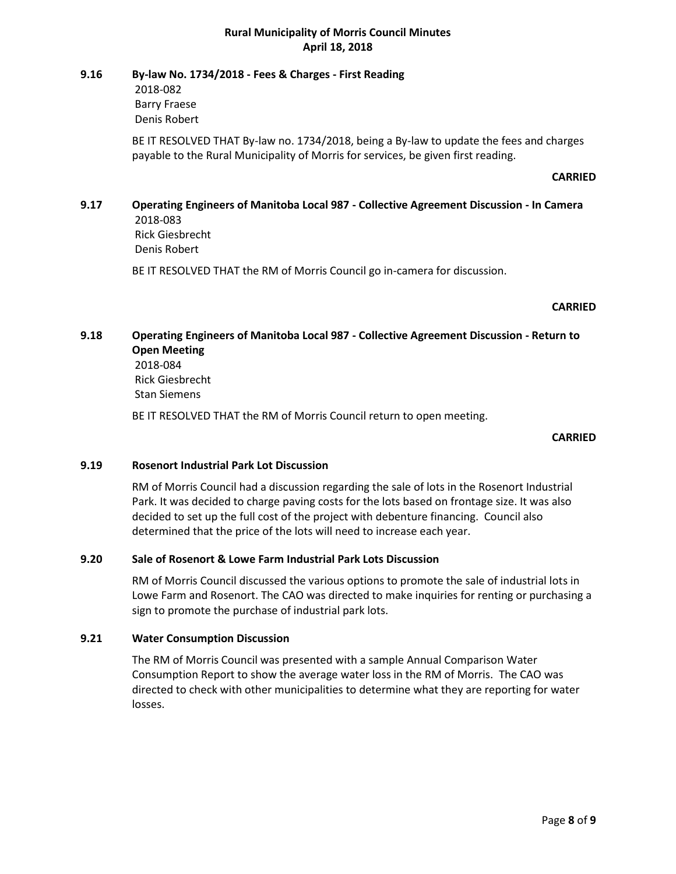#### **9.16 By-law No. 1734/2018 - Fees & Charges - First Reading**

2018-082 Barry Fraese Denis Robert

BE IT RESOLVED THAT By-law no. 1734/2018, being a By-law to update the fees and charges payable to the Rural Municipality of Morris for services, be given first reading.

#### **CARRIED**

## **9.17 Operating Engineers of Manitoba Local 987 - Collective Agreement Discussion - In Camera** 2018-083 Rick Giesbrecht

Denis Robert

BE IT RESOLVED THAT the RM of Morris Council go in-camera for discussion.

#### **CARRIED**

## **9.18 Operating Engineers of Manitoba Local 987 - Collective Agreement Discussion - Return to Open Meeting**

2018-084 Rick Giesbrecht Stan Siemens

BE IT RESOLVED THAT the RM of Morris Council return to open meeting.

#### **CARRIED**

## **9.19 Rosenort Industrial Park Lot Discussion**

RM of Morris Council had a discussion regarding the sale of lots in the Rosenort Industrial Park. It was decided to charge paving costs for the lots based on frontage size. It was also decided to set up the full cost of the project with debenture financing. Council also determined that the price of the lots will need to increase each year.

#### **9.20 Sale of Rosenort & Lowe Farm Industrial Park Lots Discussion**

RM of Morris Council discussed the various options to promote the sale of industrial lots in Lowe Farm and Rosenort. The CAO was directed to make inquiries for renting or purchasing a sign to promote the purchase of industrial park lots.

#### **9.21 Water Consumption Discussion**

The RM of Morris Council was presented with a sample Annual Comparison Water Consumption Report to show the average water loss in the RM of Morris. The CAO was directed to check with other municipalities to determine what they are reporting for water losses.